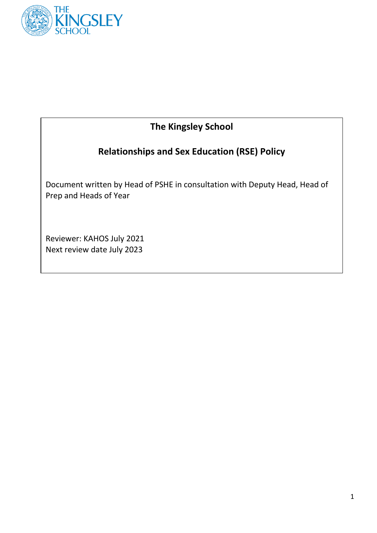

## **The Kingsley School**

# **Relationships and Sex Education (RSE) Policy**

Document written by Head of PSHE in consultation with Deputy Head, Head of Prep and Heads of Year

Reviewer: KAHOS July 2021 Next review date July 2023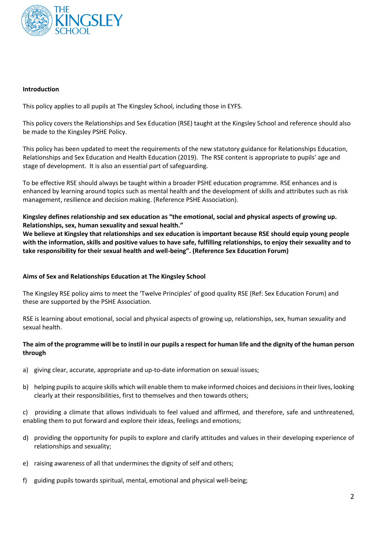

#### **Introduction**

This policy applies to all pupils at The Kingsley School, including those in EYFS.

This policy covers the Relationships and Sex Education (RSE) taught at the Kingsley School and reference should also be made to the Kingsley PSHE Policy.

This policy has been updated to meet the requirements of the new statutory guidance for Relationships Education, Relationships and Sex Education and Health Education (2019). The RSE content is appropriate to pupils' age and stage of development. It is also an essential part of safeguarding.

To be effective RSE should always be taught within a broader PSHE education programme. RSE enhances and is enhanced by learning around topics such as mental health and the development of skills and attributes such as risk management, resilience and decision making. (Reference PSHE Association).

**Kingsley defines relationship and sex education as "the emotional, social and physical aspects of growing up. Relationships, sex, human sexuality and sexual health."**

**We believe at Kingsley that relationships and sex education is important because RSE should equip young people with the information, skills and positive values to have safe, fulfilling relationships, to enjoy their sexuality and to take responsibility for their sexual health and well-being". (Reference Sex Education Forum)**

## **Aims of Sex and Relationships Education at The Kingsley School**

The Kingsley RSE policy aims to meet the 'Twelve Principles' of good quality RSE (Ref: Sex Education Forum) and these are supported by the PSHE Association.

RSE is learning about emotional, social and physical aspects of growing up, relationships, sex, human sexuality and sexual health.

#### **The aim of the programme will be to instil in our pupils a respect for human life and the dignity of the human person through**

- a) giving clear, accurate, appropriate and up-to-date information on sexual issues;
- b) helping pupilsto acquire skills which will enable them to make informed choices and decisions in their lives, looking clearly at their responsibilities, first to themselves and then towards others;

c) providing a climate that allows individuals to feel valued and affirmed, and therefore, safe and unthreatened, enabling them to put forward and explore their ideas, feelings and emotions;

- d) providing the opportunity for pupils to explore and clarify attitudes and values in their developing experience of relationships and sexuality;
- e) raising awareness of all that undermines the dignity of self and others;
- f) guiding pupils towards spiritual, mental, emotional and physical well-being;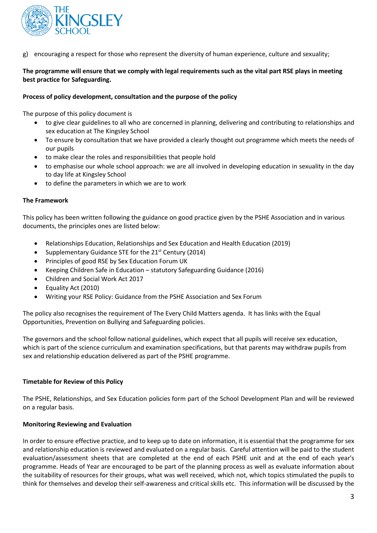

encouraging a respect for those who represent the diversity of human experience, culture and sexuality;

## **The programme will ensure that we comply with legal requirements such as the vital part RSE plays in meeting best practice for Safeguarding.**

#### **Process of policy development, consultation and the purpose of the policy**

The purpose of this policy document is

- to give clear guidelines to all who are concerned in planning, delivering and contributing to relationships and sex education at The Kingsley School
- To ensure by consultation that we have provided a clearly thought out programme which meets the needs of our pupils
- to make clear the roles and responsibilities that people hold
- to emphasise our whole school approach: we are all involved in developing education in sexuality in the day to day life at Kingsley School
- to define the parameters in which we are to work

#### **The Framework**

This policy has been written following the guidance on good practice given by the PSHE Association and in various documents, the principles ones are listed below:

- Relationships Education, Relationships and Sex Education and Health Education (2019)
- Supplementary Guidance STE for the  $21<sup>st</sup>$  Century (2014)
- **•** Principles of good RSE by Sex Education Forum UK
- Keeping Children Safe in Education statutory Safeguarding Guidance (2016)
- Children and Social Work Act 2017
- Equality Act (2010)
- Writing your RSE Policy: Guidance from the PSHE Association and Sex Forum

The policy also recognises the requirement of The Every Child Matters agenda. It has links with the Equal Opportunities, Prevention on Bullying and Safeguarding policies.

The governors and the school follow national guidelines, which expect that all pupils will receive sex education, which is part of the science curriculum and examination specifications, but that parents may withdraw pupils from sex and relationship education delivered as part of the PSHE programme.

#### **Timetable for Review of this Policy**

The PSHE, Relationships, and Sex Education policies form part of the School Development Plan and will be reviewed on a regular basis.

#### **Monitoring Reviewing and Evaluation**

In order to ensure effective practice, and to keep up to date on information, it is essential that the programme for sex and relationship education is reviewed and evaluated on a regular basis. Careful attention will be paid to the student evaluation/assessment sheets that are completed at the end of each PSHE unit and at the end of each year's programme. Heads of Year are encouraged to be part of the planning process as well as evaluate information about the suitability of resources for their groups, what was well received, which not, which topics stimulated the pupils to think for themselves and develop their self-awareness and critical skills etc. This information will be discussed by the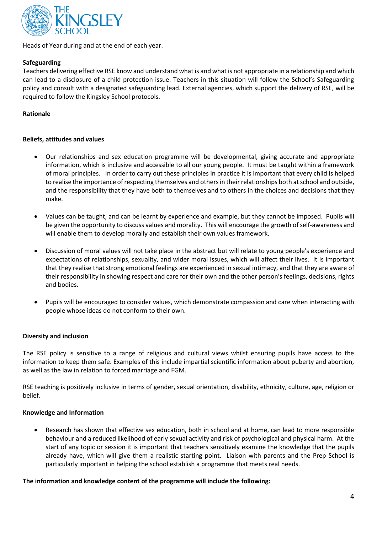

Heads of Year during and at the end of each year.

## **Safeguarding**

Teachers delivering effective RSE know and understand what is and what is not appropriate in a relationship and which can lead to a disclosure of a child protection issue. Teachers in this situation will follow the School's Safeguarding policy and consult with a designated safeguarding lead. External agencies, which support the delivery of RSE, will be required to follow the Kingsley School protocols.

#### **Rationale**

#### **Beliefs, attitudes and values**

- Our relationships and sex education programme will be developmental, giving accurate and appropriate information, which is inclusive and accessible to all our young people. It must be taught within a framework of moral principles. In order to carry out these principles in practice it is important that every child is helped to realise the importance of respecting themselves and others in their relationships both at school and outside, and the responsibility that they have both to themselves and to others in the choices and decisions that they make.
- Values can be taught, and can be learnt by experience and example, but they cannot be imposed. Pupils will be given the opportunity to discuss values and morality. This will encourage the growth of self-awareness and will enable them to develop morally and establish their own values framework.
- Discussion of moral values will not take place in the abstract but will relate to young people's experience and expectations of relationships, sexuality, and wider moral issues, which will affect their lives. It is important that they realise that strong emotional feelings are experienced in sexual intimacy, and that they are aware of their responsibility in showing respect and care for their own and the other person's feelings, decisions, rights and bodies.
- Pupils will be encouraged to consider values, which demonstrate compassion and care when interacting with people whose ideas do not conform to their own.

## **Diversity and inclusion**

The RSE policy is sensitive to a range of religious and cultural views whilst ensuring pupils have access to the information to keep them safe. Examples of this include impartial scientific information about puberty and abortion, as well as the law in relation to forced marriage and FGM.

RSE teaching is positively inclusive in terms of gender, sexual orientation, disability, ethnicity, culture, age, religion or belief.

#### **Knowledge and Information**

 Research has shown that effective sex education, both in school and at home, can lead to more responsible behaviour and a reduced likelihood of early sexual activity and risk of psychological and physical harm. At the start of any topic or session it is important that teachers sensitively examine the knowledge that the pupils already have, which will give them a realistic starting point. Liaison with parents and the Prep School is particularly important in helping the school establish a programme that meets real needs.

#### **The information and knowledge content of the programme will include the following:**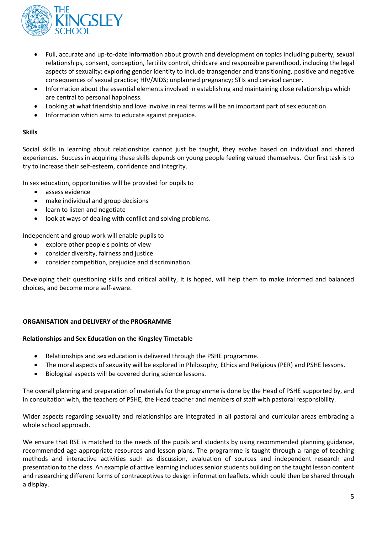

- Full, accurate and up-to-date information about growth and development on topics including puberty, sexual relationships, consent, conception, fertility control, childcare and responsible parenthood, including the legal aspects of sexuality; exploring gender identity to include transgender and transitioning, positive and negative consequences of sexual practice; HIV/AIDS; unplanned pregnancy; STIs and cervical cancer.
- Information about the essential elements involved in establishing and maintaining close relationships which are central to personal happiness.
- Looking at what friendship and love involve in real terms will be an important part of sex education.
- Information which aims to educate against prejudice.

## **Skills**

Social skills in learning about relationships cannot just be taught, they evolve based on individual and shared experiences. Success in acquiring these skills depends on young people feeling valued themselves. Our first task is to try to increase their self-esteem, confidence and integrity.

In sex education, opportunities will be provided for pupils to

- assess evidence
- make individual and group decisions
- learn to listen and negotiate
- look at ways of dealing with conflict and solving problems.

Independent and group work will enable pupils to

- explore other people's points of view
- consider diversity, fairness and justice
- consider competition, prejudice and discrimination.

Developing their questioning skills and critical ability, it is hoped, will help them to make informed and balanced choices, and become more self-aware.

## **ORGANISATION and DELIVERY of the PROGRAMME**

#### **Relationships and Sex Education on the Kingsley Timetable**

- Relationships and sex education is delivered through the PSHE programme.
- The moral aspects of sexuality will be explored in Philosophy, Ethics and Religious (PER) and PSHE lessons.
- Biological aspects will be covered during science lessons.

The overall planning and preparation of materials for the programme is done by the Head of PSHE supported by, and in consultation with, the teachers of PSHE, the Head teacher and members of staff with pastoral responsibility.

Wider aspects regarding sexuality and relationships are integrated in all pastoral and curricular areas embracing a whole school approach.

We ensure that RSE is matched to the needs of the pupils and students by using recommended planning guidance, recommended age appropriate resources and lesson plans. The programme is taught through a range of teaching methods and interactive activities such as discussion, evaluation of sources and independent research and presentation to the class. An example of active learning includes senior students building on the taught lesson content and researching different forms of contraceptives to design information leaflets, which could then be shared through a display.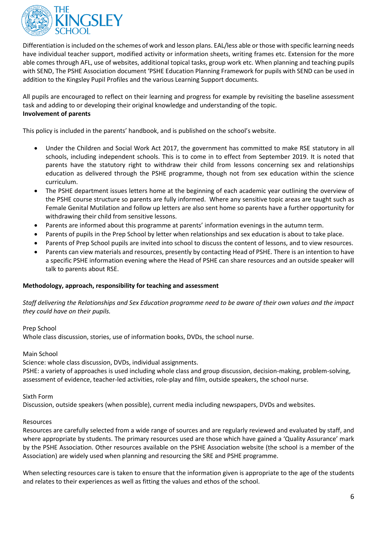

Differentiation is included on the schemes of work and lesson plans. EAL/less able or those with specific learning needs have individual teacher support, modified activity or information sheets, writing frames etc. Extension for the more able comes through AFL, use of websites, additional topical tasks, group work etc. When planning and teaching pupils with SEND, The PSHE Association document 'PSHE Education Planning Framework for pupils with SEND can be used in addition to the Kingsley Pupil Profiles and the various Learning Support documents.

All pupils are encouraged to reflect on their learning and progress for example by revisiting the baseline assessment task and adding to or developing their original knowledge and understanding of the topic. **Involvement of parents**

This policy is included in the parents' handbook, and is published on the school's website.

- Under the Children and Social Work Act 2017, the government has committed to make RSE statutory in all schools, including independent schools. This is to come in to effect from September 2019. It is noted that parents have the statutory right to withdraw their child from lessons concerning sex and relationships education as delivered through the PSHE programme, though not from sex education within the science curriculum.
- The PSHE department issues letters home at the beginning of each academic year outlining the overview of the PSHE course structure so parents are fully informed. Where any sensitive topic areas are taught such as Female Genital Mutilation and follow up letters are also sent home so parents have a further opportunity for withdrawing their child from sensitive lessons.
- Parents are informed about this programme at parents' information evenings in the autumn term.
- Parents of pupils in the Prep School by letter when relationships and sex education is about to take place.
- Parents of Prep School pupils are invited into school to discuss the content of lessons, and to view resources.
- Parents can view materials and resources, presently by contacting Head of PSHE. There is an intention to have a specific PSHE information evening where the Head of PSHE can share resources and an outside speaker will talk to parents about RSE.

#### **Methodology, approach, responsibility for teaching and assessment**

*Staff delivering the Relationships and Sex Education programme need to be aware of their own values and the impact they could have on their pupils.*

Prep School

Whole class discussion, stories, use of information books, DVDs, the school nurse.

Main School

Science: whole class discussion, DVDs, individual assignments.

PSHE: a variety of approaches is used including whole class and group discussion, decision-making, problem-solving, assessment of evidence, teacher-led activities, role-play and film, outside speakers, the school nurse.

#### Sixth Form

Discussion, outside speakers (when possible), current media including newspapers, DVDs and websites.

#### Resources

Resources are carefully selected from a wide range of sources and are regularly reviewed and evaluated by staff, and where appropriate by students. The primary resources used are those which have gained a 'Quality Assurance' mark by the PSHE Association. Other resources available on the PSHE Association website (the school is a member of the Association) are widely used when planning and resourcing the SRE and PSHE programme.

When selecting resources care is taken to ensure that the information given is appropriate to the age of the students and relates to their experiences as well as fitting the values and ethos of the school.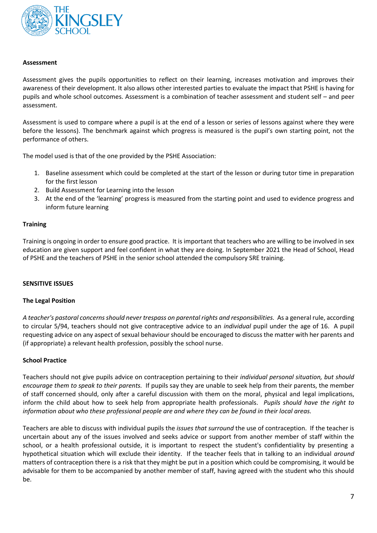

#### **Assessment**

Assessment gives the pupils opportunities to reflect on their learning, increases motivation and improves their awareness of their development. It also allows other interested parties to evaluate the impact that PSHE is having for pupils and whole school outcomes. Assessment is a combination of teacher assessment and student self – and peer assessment.

Assessment is used to compare where a pupil is at the end of a lesson or series of lessons against where they were before the lessons). The benchmark against which progress is measured is the pupil's own starting point, not the performance of others.

The model used is that of the one provided by the PSHE Association:

- 1. Baseline assessment which could be completed at the start of the lesson or during tutor time in preparation for the first lesson
- 2. Build Assessment for Learning into the lesson
- 3. At the end of the 'learning' progress is measured from the starting point and used to evidence progress and inform future learning

#### **Training**

Training is ongoing in order to ensure good practice. It is important that teachers who are willing to be involved in sex education are given support and feel confident in what they are doing. In September 2021 the Head of School, Head of PSHE and the teachers of PSHE in the senior school attended the compulsory SRE training.

#### **SENSITIVE ISSUES**

#### **The Legal Position**

*A teacher's pastoral concerns should never trespass on parental rights and responsibilities.* As a general rule, according to circular 5/94, teachers should not give contraceptive advice to an *individual* pupil under the age of 16. A pupil requesting advice on any aspect of sexual behaviour should be encouraged to discuss the matter with her parents and (if appropriate) a relevant health profession, possibly the school nurse.

#### **School Practice**

Teachers should not give pupils advice on contraception pertaining to their *individual personal situation, but should encourage them to speak to their parents.* If pupils say they are unable to seek help from their parents, the member of staff concerned should, only after a careful discussion with them on the moral, physical and legal implications, inform the child about how to seek help from appropriate health professionals. *Pupils should have the right to information about who these professional people are and where they can be found in their local areas.*

Teachers are able to discuss with individual pupils the *issues that surround* the use of contraception. If the teacher is uncertain about any of the issues involved and seeks advice or support from another member of staff within the school, or a health professional outside, it is important to respect the student's confidentiality by presenting a hypothetical situation which will exclude their identity. If the teacher feels that in talking to an individual *around* matters of contraception there is a risk that they might be put in a position which could be compromising, it would be advisable for them to be accompanied by another member of staff, having agreed with the student who this should be.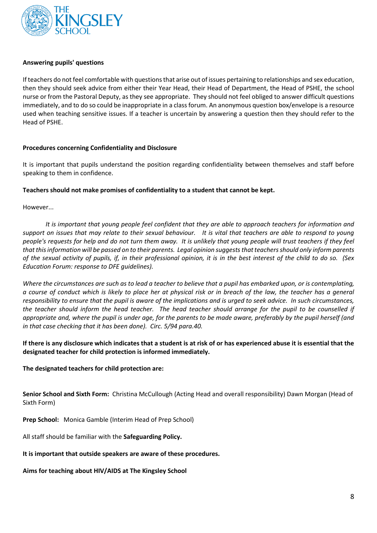

#### **Answering pupils' questions**

If teachers do not feel comfortable with questions that arise out of issues pertaining to relationships and sex education, then they should seek advice from either their Year Head, their Head of Department, the Head of PSHE, the school nurse or from the Pastoral Deputy, as they see appropriate. They should not feel obliged to answer difficult questions immediately, and to do so could be inappropriate in a class forum. An anonymous question box/envelope is a resource used when teaching sensitive issues. If a teacher is uncertain by answering a question then they should refer to the Head of PSHE.

#### **Procedures concerning Confidentiality and Disclosure**

It is important that pupils understand the position regarding confidentiality between themselves and staff before speaking to them in confidence.

#### **Teachers should not make promises of confidentiality to a student that cannot be kept.**

However...

*It is important that young people feel confident that they are able to approach teachers for information and support on issues that may relate to their sexual behaviour. It is vital that teachers are able to respond to young people's requests for help and do not turn them away. It is unlikely that young people will trust teachers if they feel that this information will be passed on to their parents. Legal opinion suggests that teachers should only inform parents of the sexual activity of pupils, if, in their professional opinion, it is in the best interest of the child to do so. (Sex Education Forum: response to DFE guidelines).*

*Where the circumstances are such as to lead a teacher to believe that a pupil has embarked upon, or is contemplating, a course of conduct which is likely to place her at physical risk or in breach of the law, the teacher has a general responsibility to ensure that the pupil is aware of the implications and is urged to seek advice. In such circumstances, the teacher should inform the head teacher. The head teacher should arrange for the pupil to be counselled if appropriate and, where the pupil is under age, for the parents to be made aware, preferably by the pupil herself (and in that case checking that it has been done). Circ. 5/94 para.40.*

## **If there is any disclosure which indicates that a student is at risk of or has experienced abuse it is essential that the designated teacher for child protection is informed immediately.**

## **The designated teachers for child protection are:**

**Senior School and Sixth Form:** Christina McCullough (Acting Head and overall responsibility) Dawn Morgan (Head of Sixth Form)

**Prep School:** Monica Gamble (Interim Head of Prep School)

All staff should be familiar with the **Safeguarding Policy.**

#### **It is important that outside speakers are aware of these procedures.**

## **Aims for teaching about HIV/AIDS at The Kingsley School**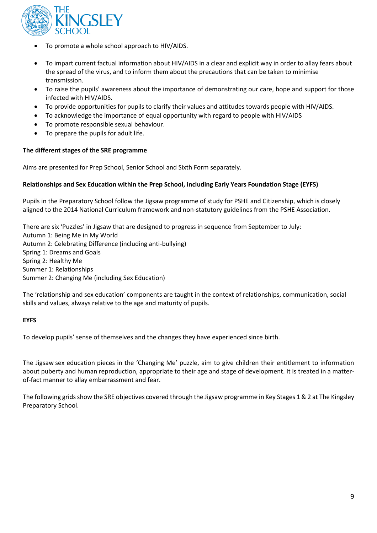

- To promote a whole school approach to HIV/AIDS.
- To impart current factual information about HIV/AIDS in a clear and explicit way in order to allay fears about the spread of the virus, and to inform them about the precautions that can be taken to minimise transmission.
- To raise the pupils' awareness about the importance of demonstrating our care, hope and support for those infected with HIV/AIDS.
- To provide opportunities for pupils to clarify their values and attitudes towards people with HIV/AIDS.
- To acknowledge the importance of equal opportunity with regard to people with HIV/AIDS
- To promote responsible sexual behaviour.
- To prepare the pupils for adult life.

#### **The different stages of the SRE programme**

Aims are presented for Prep School, Senior School and Sixth Form separately.

#### **Relationships and Sex Education within the Prep School, including Early Years Foundation Stage (EYFS)**

Pupils in the Preparatory School follow the Jigsaw programme of study for PSHE and Citizenship, which is closely aligned to the 2014 National Curriculum framework and non-statutory guidelines from the PSHE Association.

There are six 'Puzzles' in Jigsaw that are designed to progress in sequence from September to July: Autumn 1: Being Me in My World Autumn 2: Celebrating Difference (including anti-bullying) Spring 1: Dreams and Goals Spring 2: Healthy Me Summer 1: Relationships Summer 2: Changing Me (including Sex Education)

The 'relationship and sex education' components are taught in the context of relationships, communication, social skills and values, always relative to the age and maturity of pupils.

#### **EYFS**

To develop pupils' sense of themselves and the changes they have experienced since birth.

The Jigsaw sex education pieces in the 'Changing Me' puzzle, aim to give children their entitlement to information about puberty and human reproduction, appropriate to their age and stage of development. It is treated in a matterof-fact manner to allay embarrassment and fear.

The following grids show the SRE objectives covered through the Jigsaw programme in Key Stages 1 & 2 at The Kingsley Preparatory School.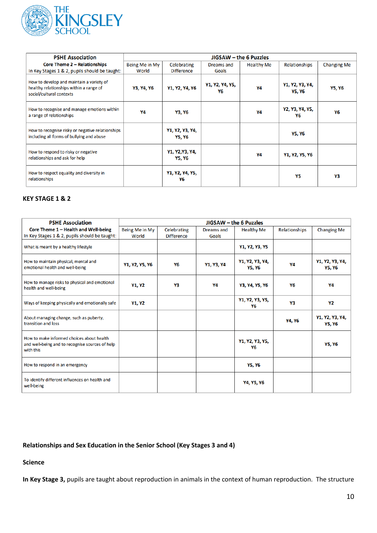

| <b>PSHE Association</b>                                                                                         | JIGSAW – the 6 Puzzles |                           |                       |                   |                           |                    |  |  |
|-----------------------------------------------------------------------------------------------------------------|------------------------|---------------------------|-----------------------|-------------------|---------------------------|--------------------|--|--|
| <b>Core Theme 2 - Relationships</b>                                                                             | Being Me in My         | Celebrating               | Dreams and            | <b>Healthy Me</b> | Relationships             | <b>Changing Me</b> |  |  |
| In Key Stages 1 & 2, pupils should be taught:                                                                   | World                  | <b>Difference</b>         | Goals                 |                   |                           |                    |  |  |
| How to develop and maintain a variety of<br>healthy relationships within a range of<br>social/cultural contexts | Y3, Y4, Y6             | Y1, Y2, Y4, Y6            | Y1, Y2, Y4, Y5,<br>Υ6 | Y4                | Y1, Y2, Y3, Y4,<br>Y5, Y6 | <b>Y5, Y6</b>      |  |  |
| How to recognise and manage emotions within<br>a range of relationships                                         | Υ4                     | Y3, Y6                    |                       | Y4                | Y2, Y3, Y4, Y5,<br>Υ6     | Υ6                 |  |  |
| How to recognise risky or negative relationships<br>including all forms of bullying and abuse                   |                        | Y1, Y2, Y3, Y4,<br>Y5, Y6 |                       |                   | Y5, Y6                    |                    |  |  |
| How to respond to risky or negative<br>relationships and ask for help                                           |                        | Y1, Y2,Y3, Y4,<br>Y5, Y6  |                       | Y4                | Y1, Y2, Y5, Y6            |                    |  |  |
| How to respect equality and diversity in<br>relationships                                                       |                        | Y1, Y2, Y4, Y5,<br>Υ6     |                       |                   | Υ5                        | Y3                 |  |  |

## **KEY STAGE 1 & 2**

| <b>PSHE Association</b>                                                                                   | JIGSAW - the 6 Puzzles  |                                  |                     |                                  |               |                                  |  |  |
|-----------------------------------------------------------------------------------------------------------|-------------------------|----------------------------------|---------------------|----------------------------------|---------------|----------------------------------|--|--|
| Core Theme 1 - Health and Well-being<br>In Key Stages 1 & 2, pupils should be taught:                     | Being Me in My<br>World | Celebrating<br><b>Difference</b> | Dreams and<br>Goals | <b>Healthy Me</b>                | Relationships | <b>Changing Me</b>               |  |  |
| What is meant by a healthy lifestyle                                                                      |                         |                                  |                     | Y1, Y2, Y3, Y5                   |               |                                  |  |  |
| How to maintain physical, mental and<br>emotional health and well-being                                   | Y1, Y2, Y5, Y6          | Y6                               | Y1, Y3, Y4          | Y1, Y2, Y3, Y4,<br><b>Y5, Y6</b> | Υ4            | Y1, Y2, Y3, Y4,<br><b>Y5, Y6</b> |  |  |
| How to manage risks to physical and emotional<br>health and well-being                                    | Y1, Y2                  | Υ3                               | Υ4                  | Y3, Y4, Y5, Y6                   | Y6            | Y4                               |  |  |
| Ways of keeping physically and emotionally safe                                                           | Y1, Y2                  |                                  |                     | Y1, Y2, Y3, Y5,<br>Υ6            | Υ3            | Y2                               |  |  |
| About managing change, such as puberty,<br>transition and loss                                            |                         |                                  |                     |                                  | Y4, Y6        | Y1, Y2, Y3, Y4,<br><b>Y5, Y6</b> |  |  |
| How to make informed choices about health<br>and well-being and to recognise sources of help<br>with this |                         |                                  |                     | Y1, Y2, Y3, Y5,<br>Υ6            |               | <b>Y5, Y6</b>                    |  |  |
| How to respond in an emergency                                                                            |                         |                                  |                     | <b>Y5, Y6</b>                    |               |                                  |  |  |
| To identify different influences on health and<br>well-being                                              |                         |                                  |                     | Y4, Y5, Y6                       |               |                                  |  |  |

## **Relationships and Sex Education in the Senior School (Key Stages 3 and 4)**

**Science**

**In Key Stage 3,** pupils are taught about reproduction in animals in the context of human reproduction. The structure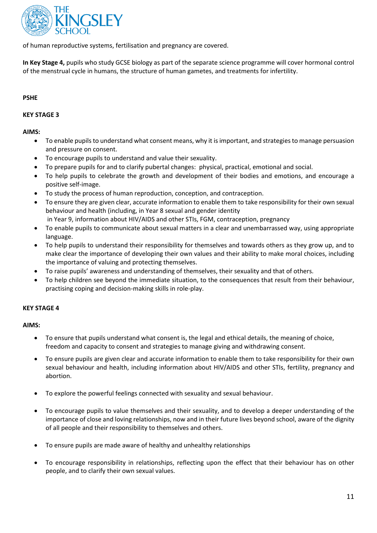

of human reproductive systems, fertilisation and pregnancy are covered.

**In Key Stage 4,** pupils who study GCSE biology as part of the separate science programme will cover hormonal control of the menstrual cycle in humans, the structure of human gametes, and treatments for infertility.

#### **PSHE**

#### **KEY STAGE 3**

#### **AIMS:**

- To enable pupils to understand what consent means, why it is important, and strategies to manage persuasion and pressure on consent.
- To encourage pupils to understand and value their sexuality.
- To prepare pupils for and to clarify pubertal changes: physical, practical, emotional and social.
- To help pupils to celebrate the growth and development of their bodies and emotions, and encourage a positive self-image.
- To study the process of human reproduction, conception, and contraception.
- To ensure they are given clear, accurate information to enable them to take responsibility for their own sexual behaviour and health (including, in Year 8 sexual and gender identity
	- in Year 9, information about HIV/AIDS and other STIs, FGM, contraception, pregnancy
- To enable pupils to communicate about sexual matters in a clear and unembarrassed way, using appropriate language.
- To help pupils to understand their responsibility for themselves and towards others as they grow up, and to make clear the importance of developing their own values and their ability to make moral choices, including the importance of valuing and protecting themselves.
- To raise pupils' awareness and understanding of themselves, their sexuality and that of others.
- To help children see beyond the immediate situation, to the consequences that result from their behaviour, practising coping and decision-making skills in role-play.

#### **KEY STAGE 4**

#### **AIMS:**

- To ensure that pupils understand what consent is, the legal and ethical details, the meaning of choice, freedom and capacity to consent and strategies to manage giving and withdrawing consent.
- To ensure pupils are given clear and accurate information to enable them to take responsibility for their own sexual behaviour and health, including information about HIV/AIDS and other STIs, fertility, pregnancy and abortion.
- To explore the powerful feelings connected with sexuality and sexual behaviour.
- To encourage pupils to value themselves and their sexuality, and to develop a deeper understanding of the importance of close and loving relationships, now and in their future lives beyond school, aware of the dignity of all people and their responsibility to themselves and others.
- To ensure pupils are made aware of healthy and unhealthy relationships
- To encourage responsibility in relationships, reflecting upon the effect that their behaviour has on other people, and to clarify their own sexual values.